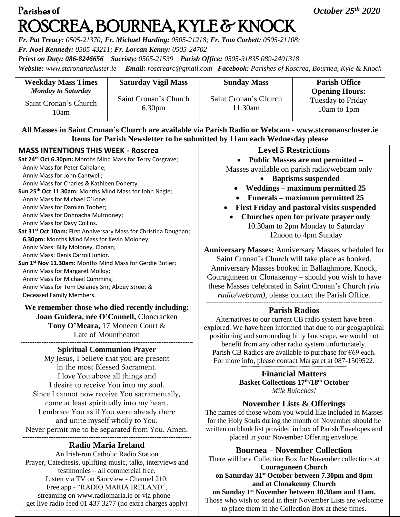# Parishes **of** *October 25th 2020*  ROSCREA, BOURNEA, KYLE & KNOCK

*Fr. Pat Treacy: 0505-21370; Fr. Michael Harding: 0505-21218; Fr. Tom Corbett: 0505-21108; Fr. Noel Kennedy: 0505-43211; Fr. Lorcan Kenny: 0505-24702*

*Priest on Duty: 086-8246656 Sacristy: 0505-21539 Parish Office: 0505-31835 089-2401318*

*Website: [www.stcronanscluster.ie](http://www.stcronanscluster.ie/) Email: [roscrearc@gmail.com](mailto:roscrearc@gmail.com) Facebook: Parishes of Roscrea, Bournea, Kyle & Knock* 

| <b>Weekday Mass Times</b>                                  | <b>Saturday Vigil Mass</b>                  | <b>Sunday Mass</b>               | <b>Parish Office</b>                                             |
|------------------------------------------------------------|---------------------------------------------|----------------------------------|------------------------------------------------------------------|
| <b>Monday to Saturday</b><br>Saint Cronan's Church<br>10am | Saint Cronan's Church<br>6.30 <sub>pm</sub> | Saint Cronan's Church<br>11.30am | <b>Opening Hours:</b><br><b>Tuesday to Friday</b><br>10am to 1pm |

**All Masses in Saint Cronan's Church are available via Parish Radio or Webcam - www.stcronanscluster.ie Items for Parish Newsletter to be submitted by 11am each Wednesday please**

| <b>MASS INTENTIONS THIS WEEK - Roscrea</b>                                                              | <b>Level 5 Restrictions</b>                                                             |  |
|---------------------------------------------------------------------------------------------------------|-----------------------------------------------------------------------------------------|--|
| Sat 24th Oct 6.30pm: Months Mind Mass for Terry Cosgrave;                                               | <b>Public Masses are not permitt</b>                                                    |  |
| Anniv Mass for Peter Cahalane;                                                                          | Masses available on parish radio/webc                                                   |  |
| Anniv Mass for John Cantwell;                                                                           | <b>Baptisms suspended</b>                                                               |  |
| Anniv Mass for Charles & Kathleen Doherty.                                                              | Weddings – maximum permitt                                                              |  |
| Sun 25 <sup>th</sup> Oct 11.30am: Months Mind Mass for John Nagle;                                      |                                                                                         |  |
| Anniv Mass for Michael O'Lone;                                                                          | Funerals – maximum permitte                                                             |  |
| Anniv Mass for Damian Tooher;                                                                           | First Friday and pastoral visits su                                                     |  |
| Anniv Mass for Donnacha Mulrooney;                                                                      | Churches open for private pray                                                          |  |
| Anniv Mass for Davy Collins.                                                                            | 10.30am to 2pm Monday to Sat                                                            |  |
| Sat 31 <sup>st</sup> Oct 10am: First Anniversary Mass for Christina Doughan;                            | 12noon to 4pm Sunday                                                                    |  |
| 6.30pm: Months Mind Mass for Kevin Moloney;                                                             |                                                                                         |  |
| Anniv Mass: Billy Moloney, Clonan;                                                                      | <b>Anniversary Masses: Anniversary Masses so</b>                                        |  |
| Anniv Mass: Denis Carroll Junior.                                                                       | Saint Cronan's Church will take place as I                                              |  |
| Sun 1 <sup>st</sup> Nov 11.30am: Months Mind Mass for Gerdie Butler;<br>Anniv Mass for Margaret Molloy; | Anniversary Masses booked in Ballaghmor                                                 |  |
| Anniv Mass for Michael Cummins;                                                                         | Couraguneen or Clonakenny – should you w<br>these Masses celebrated in Saint Cronan's C |  |
| Anniv Mass for Tom Delaney Snr, Abbey Street &                                                          |                                                                                         |  |
| Deceased Family Members.                                                                                | radio/webcam), please contact the Parish                                                |  |
|                                                                                                         |                                                                                         |  |
| We remember those who died recently including:                                                          | <b>Parish Radios</b>                                                                    |  |
| Joan Guidera, née O'Connell, Cloncracken                                                                | Alternatives to our current CB radio system h                                           |  |
| Tony O'Meara, 17 Moneen Court &                                                                         | explored. We have been informed that due to our                                         |  |
| Late of Mountheaton                                                                                     | positioning and surrounding hilly landscape, we                                         |  |
|                                                                                                         | benefit from any other radio system unfortu                                             |  |
| <b>Spiritual Communion Prayer</b>                                                                       | Parish CB Radios are available to purchase for                                          |  |
| My Jesus, I believe that you are present                                                                | For more info, please contact Margaret at 087-                                          |  |
| in the most Blessed Sacrament.                                                                          |                                                                                         |  |
| I love You above all things and                                                                         | <b>Financial Matters</b>                                                                |  |
| I desire to receive You into my soul.                                                                   | <b>Basket Collections 17th/18th October</b>                                             |  |
| Since I cannot now receive You sacramentally,                                                           | Míle Buíochas!                                                                          |  |
| come at least spiritually into my heart.                                                                | <b>November Lists &amp; Offerings</b>                                                   |  |
| I embrace You as if You were already there                                                              | The names of those whom you would like include                                          |  |
| and unite myself wholly to You.                                                                         | for the Holy Souls during the month of Novembe                                          |  |
| Never permit me to be separated from You. Amen.                                                         | written on blank list provided in box of Parish En                                      |  |
|                                                                                                         | placed in your November Offering envel-                                                 |  |
| Dodie Monie Incloud                                                                                     |                                                                                         |  |

## **Radio Maria Ireland**

An Irish-run Catholic Radio Station Prayer, Catechesis, uplifting music, talks, interviews and testimonies – all commercial free. Listen via TV on Saorview - Channel 210; Free app - "RADIO MARIA IRELAND", streaming on [www.radiomaria.ie](http://www.radiomaria.ie/) or via phone – get live radio feed 01 437 3277 (no extra charges apply)

**--------------------------------------------------------------------------------------------------**

### **Level 5 Restrictions**

• **Public Masses are not permitted –**

ses available on parish radio/webcam only

- **Baptisms suspended**
- **Weddings – maximum permitted 25**
- **Funerals – maximum permitted 25**
- **First Friday and pastoral visits suspended**
- **Churches open for private prayer only** 10.30am to 2pm Monday to Saturday 12noon to 4pm Sunday

**Anniversary Masses:** Anniversary Masses scheduled for ronan's Church will take place as booked. ary Masses booked in Ballaghmore, Knock, en or Clonakenny – should you wish to have ses celebrated in Saint Cronan's Church *(via rebcam)*, please contact the Parish Office. **-----------------------------------------------------------------------------------------------------**

### **Parish Radios**

ives to our current CB radio system have been e have been informed that due to our geographical g and surrounding hilly landscape, we would not from any other radio system unfortunately. Radios are available to purchase for  $\epsilon$ 69 each. info, please contact Margaret at 087-1509522.

## **November Lists & Offerings**

of those whom you would like included in Masses y Souls during the month of November should be lank list provided in box of Parish Envelopes and red in your November Offering envelope.

**Bournea – November Collection**

There will be a Collection Box for November collections at **Couraguneen Church on Saturday 31st October between 7.30pm and 8pm and at Clonakenny Church** 

**on Sunday 1st November between 10.30am and 11am.** Those who wish to send in their November Lists are welcome to place them in the Collection Box at these times.